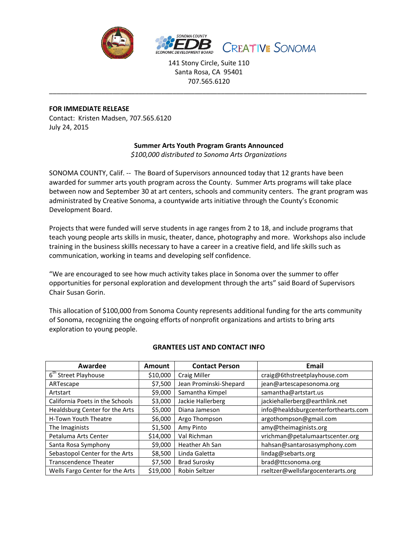

141 Stony Circle, Suite 110 Santa Rosa, CA 95401 707.565.6120

\_\_\_\_\_\_\_\_\_\_\_\_\_\_\_\_\_\_\_\_\_\_\_\_\_\_\_\_\_\_\_\_\_\_\_\_\_\_\_\_\_\_\_\_\_\_\_\_\_\_\_\_\_\_\_\_\_\_\_\_\_\_\_\_\_\_\_\_\_\_\_\_\_\_\_\_\_\_\_\_\_\_\_\_\_

### **FOR IMMEDIATE RELEASE**

Contact: Kristen Madsen, 707.565.6120 July 24, 2015

# **Summer Arts Youth Program Grants Announced**

*\$100,000 distributed to Sonoma Arts Organizations*

SONOMA COUNTY, Calif. -- The Board of Supervisors announced today that 12 grants have been awarded for summer arts youth program across the County. Summer Arts programs will take place between now and September 30 at art centers, schools and community centers. The grant program was administrated by Creative Sonoma, a countywide arts initiative through the County's Economic Development Board.

Projects that were funded will serve students in age ranges from 2 to 18, and include programs that teach young people arts skills in music, theater, dance, photography and more. Workshops also include training in the business skillls necessary to have a career in a creative field, and life skills such as communication, working in teams and developing self confidence.

"We are encouraged to see how much activity takes place in Sonoma over the summer to offer opportunities for personal exploration and development through the arts" said Board of Supervisors Chair Susan Gorin.

This allocation of \$100,000 from Sonoma County represents additional funding for the arts community of Sonoma, recognizing the ongoing efforts of nonprofit organizations and artists to bring arts exploration to young people.

| Awardee                          | <b>Amount</b> | <b>Contact Person</b>  | Email                               |
|----------------------------------|---------------|------------------------|-------------------------------------|
| 6 <sup>th</sup> Street Playhouse | \$10,000      | <b>Craig Miller</b>    | craig@6thstreetplayhouse.com        |
| ARTescape                        | \$7,500       | Jean Prominski-Shepard | jean@artescapesonoma.org            |
| Artstart                         | \$9,000       | Samantha Kimpel        | samantha@artstart.us                |
| California Poets in the Schools  | \$3,000       | Jackie Hallerberg      | jackiehallerberg@earthlink.net      |
| Healdsburg Center for the Arts   | \$5,000       | Diana Jameson          | info@healdsburgcenterforthearts.com |
| H-Town Youth Theatre             | \$6,000       | Argo Thompson          | argothompson@gmail.com              |
| The Imaginists                   | \$1,500       | Amy Pinto              | amy@theimaginists.org               |
| Petaluma Arts Center             | \$14,000      | Val Richman            | vrichman@petalumaartscenter.org     |
| Santa Rosa Symphony              | \$9,000       | Heather Ah San         | hahsan@santarosasymphony.com        |
| Sebastopol Center for the Arts   | \$8,500       | Linda Galetta          | lindag@sebarts.org                  |
| <b>Transcendence Theater</b>     | \$7,500       | <b>Brad Surosky</b>    | brad@ttcsonoma.org                  |
| Wells Fargo Center for the Arts  | \$19,000      | Robin Seltzer          | rseltzer@wellsfargocenterarts.org   |

## **GRANTEES LIST AND CONTACT INFO**